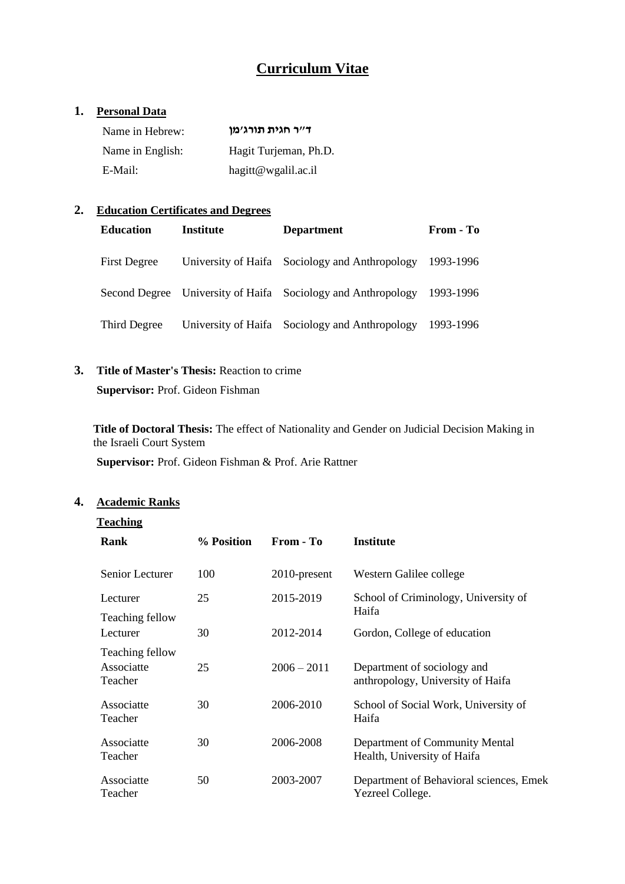# **Curriculum Vitae**

### **1. Personal Data**

| Name in Hebrew:  | ד״ר חגית תורג׳מו      |
|------------------|-----------------------|
| Name in English: | Hagit Turjeman, Ph.D. |
| E-Mail:          | hagitt@wgalil.ac.il   |

### **2. Education Certificates and Degrees**

| <b>Education</b>    | Institute | <b>Department</b>                                            | From - To |
|---------------------|-----------|--------------------------------------------------------------|-----------|
| <b>First Degree</b> |           | University of Haifa Sociology and Anthropology               | 1993-1996 |
|                     |           | Second Degree University of Haifa Sociology and Anthropology | 1993-1996 |
| Third Degree        |           | University of Haifa Sociology and Anthropology               | 1993-1996 |

# **3. Title of Master's Thesis:** Reaction to crime **Supervisor:** Prof. Gideon Fishman

**Title of Doctoral Thesis:** The effect of Nationality and Gender on Judicial Decision Making in the Israeli Court System

**Supervisor:** Prof. Gideon Fishman & Prof. Arie Rattner

# **4. Academic Ranks**

#### **Teaching**

| Rank                                     | % Position | From - To     | <b>Institute</b>                                                 |
|------------------------------------------|------------|---------------|------------------------------------------------------------------|
| Senior Lecturer                          | 100        | 2010-present  | Western Galilee college                                          |
| Lecturer<br>Teaching fellow              | 25         | 2015-2019     | School of Criminology, University of<br>Haifa                    |
| Lecturer                                 | 30         | 2012-2014     | Gordon, College of education                                     |
| Teaching fellow<br>Associatte<br>Teacher | 25         | $2006 - 2011$ | Department of sociology and<br>anthropology, University of Haifa |
| Associatte<br>Teacher                    | 30         | 2006-2010     | School of Social Work, University of<br>Haifa                    |
| Associatte<br>Teacher                    | 30         | 2006-2008     | Department of Community Mental<br>Health, University of Haifa    |
| Associatte<br>Teacher                    | 50         | 2003-2007     | Department of Behavioral sciences, Emek<br>Yezreel College.      |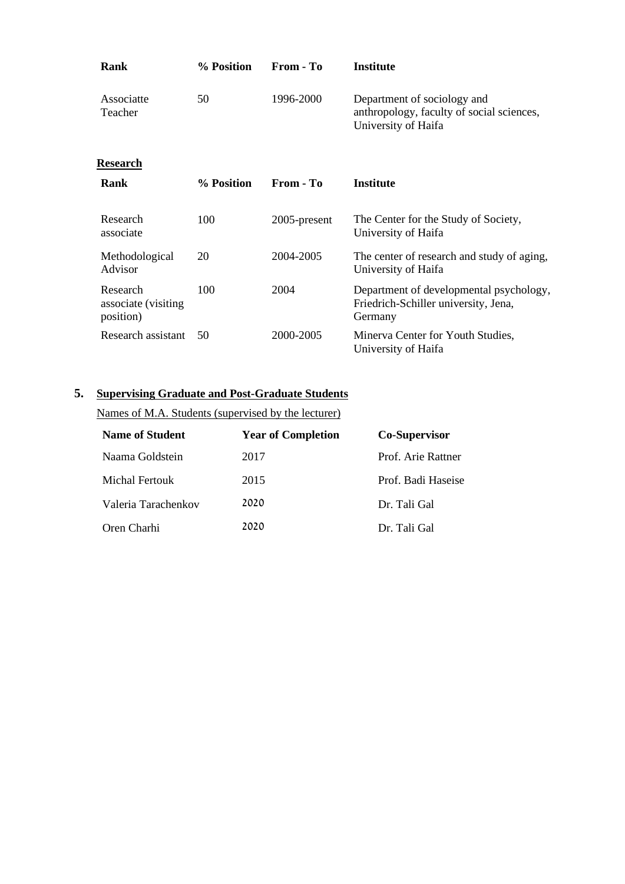| Rank                                          | % Position | From - To    | <b>Institute</b>                                                                                |
|-----------------------------------------------|------------|--------------|-------------------------------------------------------------------------------------------------|
| Associatte<br>Teacher                         | 50         | 1996-2000    | Department of sociology and<br>anthropology, faculty of social sciences,<br>University of Haifa |
| Research                                      |            |              |                                                                                                 |
| Rank                                          | % Position | From - To    | <b>Institute</b>                                                                                |
| Research<br>associate                         | 100        | 2005-present | The Center for the Study of Society,<br>University of Haifa                                     |
| Methodological<br>Advisor                     | 20         | 2004-2005    | The center of research and study of aging,<br>University of Haifa                               |
| Research<br>associate (visiting)<br>position) | 100        | 2004         | Department of developmental psychology,<br>Friedrich-Schiller university, Jena,<br>Germany      |
| Research assistant                            | 50         | 2000-2005    | Minerva Center for Youth Studies,<br>University of Haifa                                        |

# **5. Supervising Graduate and Post-Graduate Students**

Names of M.A. Students (supervised by the lecturer)

| <b>Name of Student</b> | <b>Year of Completion</b> | <b>Co-Supervisor</b> |
|------------------------|---------------------------|----------------------|
| Naama Goldstein        | 2017                      | Prof. Arie Rattner   |
| Michal Fertouk         | 2015                      | Prof. Badi Haseise   |
| Valeria Tarachenkov    | 2020                      | Dr. Tali Gal         |
| Oren Charhi            | 2020                      | Dr. Tali Gal         |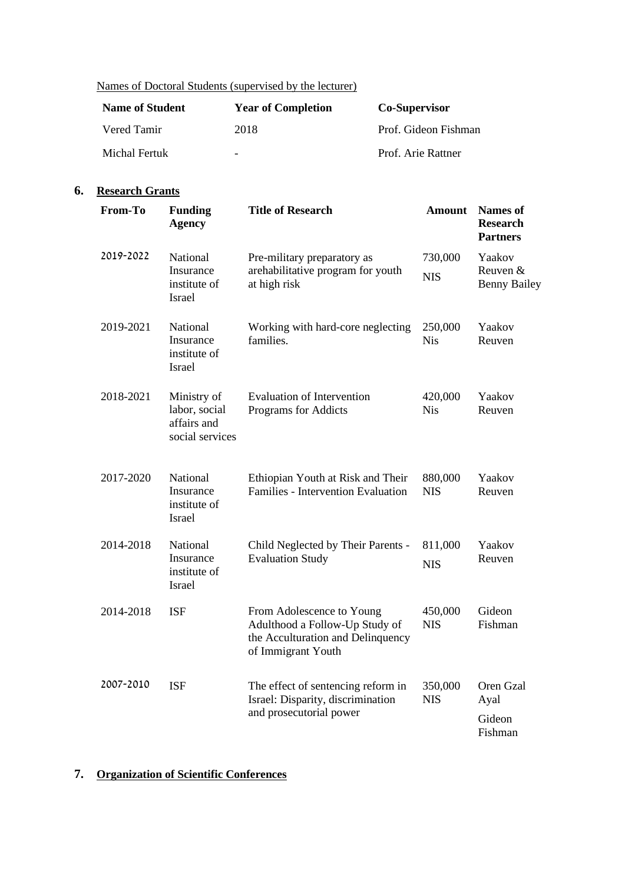### Names of Doctoral Students (supervised by the lecturer)

| <b>Name of Student</b> | <b>Year of Completion</b> | <b>Co-Supervisor</b> |
|------------------------|---------------------------|----------------------|
| Vered Tamir            | 2018                      | Prof. Gideon Fishman |
| Michal Fertuk          | $\overline{\phantom{a}}$  | Prof. Arie Rattner   |

### **6. Research Grants**

| From-To   | <b>Funding</b><br><b>Agency</b>                                | <b>Title of Research</b>                                                                                               | <b>Amount</b>         | <b>Names</b> of<br><b>Research</b><br><b>Partners</b> |
|-----------|----------------------------------------------------------------|------------------------------------------------------------------------------------------------------------------------|-----------------------|-------------------------------------------------------|
| 2019-2022 | National<br>Insurance<br>institute of<br>Israel                | Pre-military preparatory as<br>arehabilitative program for youth<br>at high risk                                       | 730,000<br><b>NIS</b> | Yaakov<br>Reuven $&$<br><b>Benny Bailey</b>           |
| 2019-2021 | National<br>Insurance<br>institute of<br>Israel                | Working with hard-core neglecting<br>families.                                                                         | 250,000<br><b>Nis</b> | Yaakov<br>Reuven                                      |
| 2018-2021 | Ministry of<br>labor, social<br>affairs and<br>social services | <b>Evaluation of Intervention</b><br>Programs for Addicts                                                              | 420,000<br><b>Nis</b> | Yaakov<br>Reuven                                      |
| 2017-2020 | National<br>Insurance<br>institute of<br><b>Israel</b>         | Ethiopian Youth at Risk and Their<br>Families - Intervention Evaluation                                                | 880,000<br><b>NIS</b> | Yaakov<br>Reuven                                      |
| 2014-2018 | National<br>Insurance<br>institute of<br>Israel                | Child Neglected by Their Parents -<br><b>Evaluation Study</b>                                                          | 811,000<br><b>NIS</b> | Yaakov<br>Reuven                                      |
| 2014-2018 | <b>ISF</b>                                                     | From Adolescence to Young<br>Adulthood a Follow-Up Study of<br>the Acculturation and Delinquency<br>of Immigrant Youth | 450,000<br><b>NIS</b> | Gideon<br>Fishman                                     |
| 2007-2010 | <b>ISF</b>                                                     | The effect of sentencing reform in<br>Israel: Disparity, discrimination<br>and prosecutorial power                     | 350,000<br><b>NIS</b> | Oren Gzal<br>Ayal<br>Gideon<br>Fishman                |

## **7. Organization of Scientific Conferences**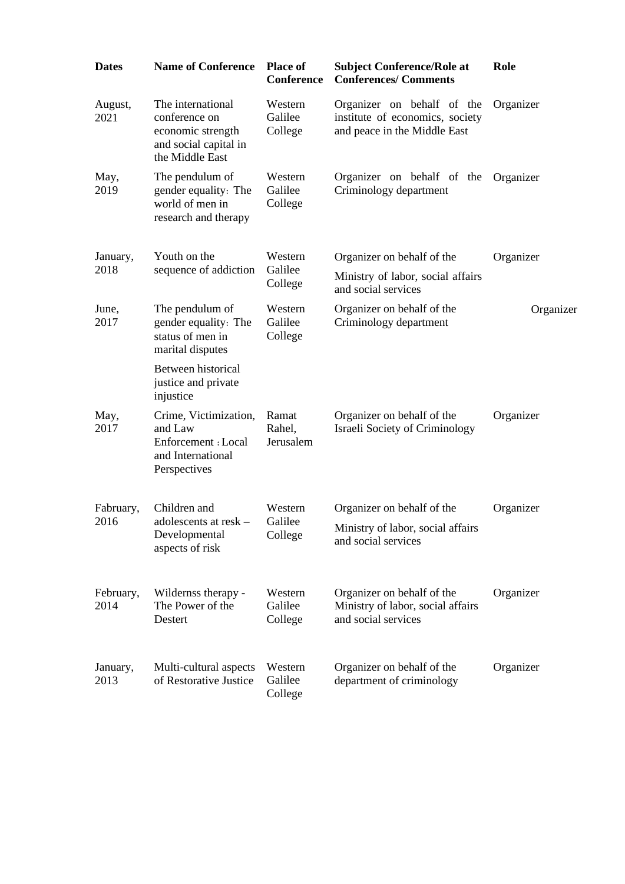| <b>Dates</b>      | <b>Name of Conference</b>                                                                           | <b>Place of</b><br><b>Conference</b> | <b>Subject Conference/Role at</b><br><b>Conferences/ Comments</b>                             | Role      |
|-------------------|-----------------------------------------------------------------------------------------------------|--------------------------------------|-----------------------------------------------------------------------------------------------|-----------|
| August,<br>2021   | The international<br>conference on<br>economic strength<br>and social capital in<br>the Middle East | Western<br>Galilee<br>College        | Organizer on behalf of the<br>institute of economics, society<br>and peace in the Middle East | Organizer |
| May,<br>2019      | The pendulum of<br>gender equality: The<br>world of men in<br>research and therapy                  | Western<br>Galilee<br>College        | Organizer on behalf of the<br>Criminology department                                          | Organizer |
| January,          | Youth on the                                                                                        | Western                              | Organizer on behalf of the                                                                    | Organizer |
| 2018              | sequence of addiction                                                                               | Galilee<br>College                   | Ministry of labor, social affairs<br>and social services                                      |           |
| June,<br>2017     | The pendulum of<br>gender equality: The<br>status of men in<br>marital disputes                     | Western<br>Galilee<br>College        | Organizer on behalf of the<br>Criminology department                                          | Organizer |
|                   | Between historical<br>justice and private<br>injustice                                              |                                      |                                                                                               |           |
| May,<br>2017      | Crime, Victimization,<br>and Law<br>Enforcement : Local<br>and International<br>Perspectives        | Ramat<br>Rahel,<br>Jerusalem         | Organizer on behalf of the<br><b>Israeli Society of Criminology</b>                           | Organizer |
| Fabruary,<br>2016 | Children and<br>adolescents at resk -<br>Developmental<br>aspects of risk                           | Western<br>Galilee<br>College        | Organizer on behalf of the<br>Ministry of labor, social affairs<br>and social services        | Organizer |
| February,<br>2014 | Wildernss therapy -<br>The Power of the<br>Destert                                                  | Western<br>Galilee<br>College        | Organizer on behalf of the<br>Ministry of labor, social affairs<br>and social services        | Organizer |
| January,<br>2013  | Multi-cultural aspects<br>of Restorative Justice                                                    | Western<br>Galilee<br>College        | Organizer on behalf of the<br>department of criminology                                       | Organizer |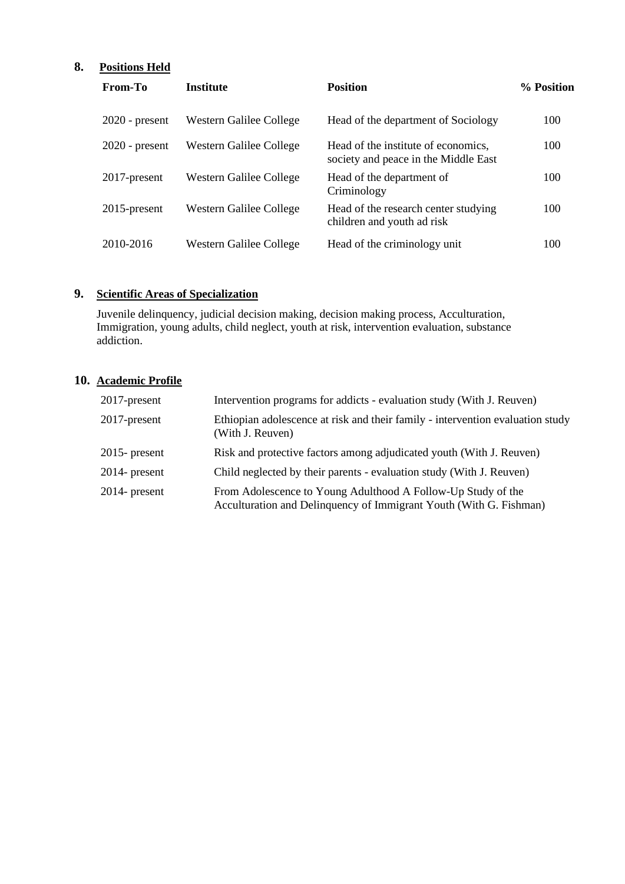# **8. Positions Held**

| From-To          | <b>Institute</b>               | <b>Position</b>                                                             | % Position |
|------------------|--------------------------------|-----------------------------------------------------------------------------|------------|
| $2020$ - present | <b>Western Galilee College</b> | Head of the department of Sociology                                         | 100        |
| $2020$ - present | Western Galilee College        | Head of the institute of economics,<br>society and peace in the Middle East | 100        |
| 2017-present     | Western Galilee College        | Head of the department of<br>Criminology                                    | 100        |
| $2015$ -present  | Western Galilee College        | Head of the research center studying<br>children and youth ad risk          | 100        |
| 2010-2016        | Western Galilee College        | Head of the criminology unit                                                | 100        |

# **9. Scientific Areas of Specialization**

Juvenile delinquency, judicial decision making, decision making process, Acculturation, Immigration, young adults, child neglect, youth at risk, intervention evaluation, substance addiction.

## **10. Academic Profile**

| 2017-present     | Intervention programs for addicts - evaluation study (With J. Reuven)                                                              |
|------------------|------------------------------------------------------------------------------------------------------------------------------------|
| 2017-present     | Ethiopian adolescence at risk and their family - intervention evaluation study<br>(With J. Reuven)                                 |
| $2015$ - present | Risk and protective factors among adjudicated youth (With J. Reuven)                                                               |
| $2014$ - present | Child neglected by their parents - evaluation study (With J. Reuven)                                                               |
| $2014$ - present | From Adolescence to Young Adulthood A Follow-Up Study of the<br>Acculturation and Delinquency of Immigrant Youth (With G. Fishman) |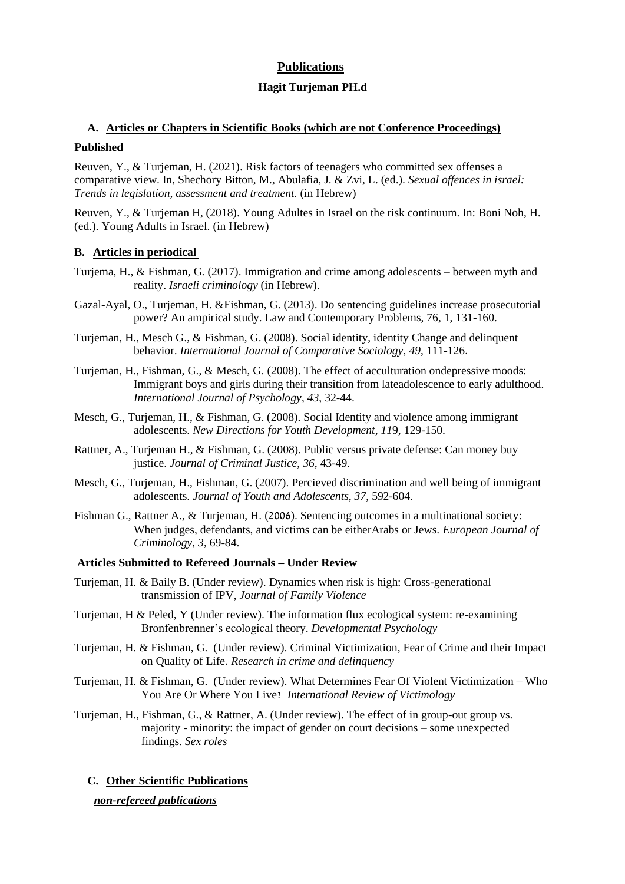### **Publications**

#### **Hagit Turjeman PH.d**

## **A. Articles or Chapters in Scientific Books (which are not Conference Proceedings)**

#### **Published**

Reuven, Y., & Turjeman, H. (2021). Risk factors of teenagers who committed sex offenses a comparative view. In, Shechory Bitton, M., Abulafia, J. & Zvi, L. (ed.). *Sexual offences in israel: Trends in legislation, assessment and treatment.* (in Hebrew)

Reuven, Y., & Turjeman H, (2018). Young Adultes in Israel on the risk continuum. In: Boni Noh, H. (ed.). Young Adults in Israel. (in Hebrew)

#### **B. Articles in periodical**

- Turjema, H., & Fishman, G. (2017). Immigration and crime among adolescents between myth and reality. *Israeli criminology* (in Hebrew).
- Gazal-Ayal, O., Turjeman, H. &Fishman, G. (2013). Do sentencing guidelines increase prosecutorial power? An ampirical study. Law and Contemporary Problems, 76, 1, 131-160.
- Turjeman, H., Mesch G., & Fishman, G. (2008). Social identity, identity Change and delinquent behavior. *International Journal of Comparative Sociology*, *49*, 111-126 .
- Turjeman, H., Fishman, G., & Mesch, G. (2008). The effect of acculturation ondepressive moods: Immigrant boys and girls during their transition from lateadolescence to early adulthood. *International Journal of Psychology*, *43*, 32-44.
- Mesch, G., Turjeman, H., & Fishman, G. (2008). Social Identity and violence among immigrant adolescents. *New Directions for Youth Development*, *11*9, 129-150.
- Rattner, A., Turjeman H., & Fishman, G. (2008). Public versus private defense: Can money buy justice. *Journal of Criminal Justice*, *36*, 43-49.
- Mesch, G., Turjeman, H., Fishman, G. (2007). Percieved discrimination and well being of immigrant adolescents. *Journal of Youth and Adolescents*, *37*, 592-604.
- Fishman G., Rattner A., & Turjeman, H. (2006). Sentencing outcomes in a multinational society: When judges, defendants, and victims can be eitherArabs or Jews. *European Journal of Criminology*, *3*, 69-84.

#### **Articles Submitted to Refereed Journals – Under Review**

- Turjeman, H. & Baily B. (Under review). Dynamics when risk is high: Cross-generational transmission of IPV, *Journal of Family Violence*
- Turjeman, H & Peled, Y (Under review). The information flux ecological system: re-examining Bronfenbrenner's ecological theory. *Developmental Psychology*
- Turjeman, H. & Fishman, G. (Under review). Criminal Victimization, Fear of Crime and their Impact on Quality of Life. *Research in crime and delinquency*
- Turjeman, H. & Fishman, G. (Under review). What Determines Fear Of Violent Victimization Who You Are Or Where You Live? *International Review of Victimology*
- Turjeman, H., Fishman, G., & Rattner, A. (Under review). The effect of in group-out group vs. majority - minority: the impact of gender on court decisions – some unexpected findings*. Sex roles*

### **C. Other Scientific Publications**

*non-refereed publications*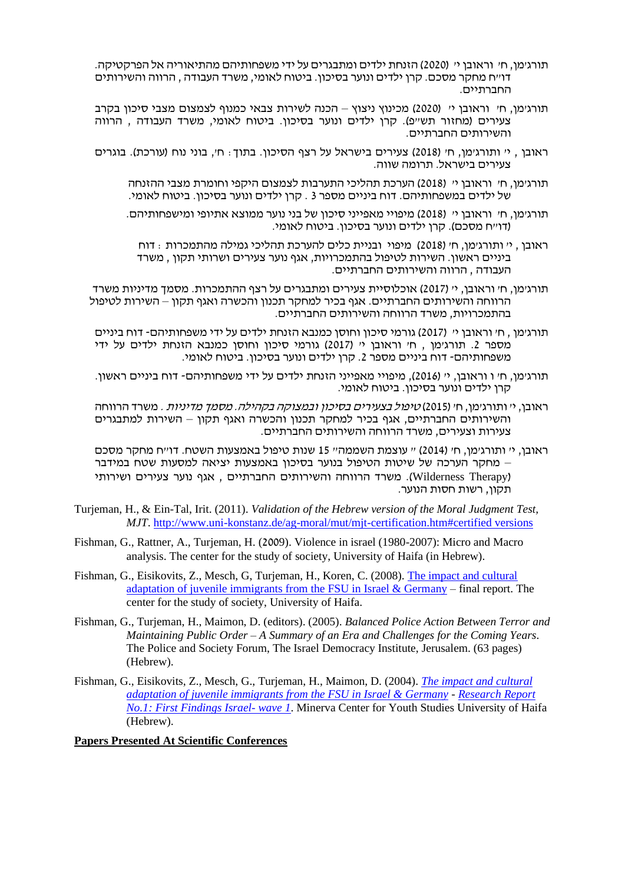- תורג'מן, ח' וראובן י' )2020( הזנחת ילדים ומתבגרים על ידי משפחותיהם מהתיאוריה אל הפרקטיקה. דו"ח מחקר מסכם. קרן ילדים ונוער בסיכון. ביטוח לאומי, משרד העבודה , הרווה והשירותים החברתיים.
- תורג'מן, ח' וראובן י' )2020( מכינוץ ניצוץ הכנה לשירות צבאי כמנוף לצמצום מצבי סיכון בקרב צעירים (מחזור תש"פ). קרן ילדים ונוער בסיכון. ביטוח לאומי, משרד העבודה , הרווה והשירותים החברתיים.
- ראובן , י' ותורג'מן, ח' ) 2018( צעירים בישראל על רצף הסיכון. בתוך: ח', בוני נוח )עורכת(. בוגרים צעירים בישראל. תרומה שווה.
	- תורג'מן, ח' וראובן י' ) 2018( הערכת תהליכי התערבות לצמצום היקפי וחומרת מצבי ההזנחה של ילדים במשפחותיהם. דוח ביניים מספר 3 . קרן ילדים ונוער בסיכון. ביטוח לאומי.
	- תורג'מן, ח' וראובן י' ) 2018( מיפויי מאפייני סיכון של בני נוער ממוצא אתיופי ומישפחותיהם. )דו"ח מסכם(. קרן ילדים ונוער בסיכון. ביטוח לאומי.
		- ראובן , י' ותורג'מן, ח' )2018( מיפוי ובניית כלים להערכת תהליכי גמילה מהתמכרות : דוח ביניים ראשון. השירות לטיפול בהתמכרויות, אגף נוער צעירים ושרותי תקון , משרד העבודה , הרווה והשירותים החברתיים.
- תורג'מן, ח' וראובן, י' )2017( אוכלוסיית צעירים ומתבגרים על רצף ההתמכרות. מסמך מדיניות משרד הרווחה והשירותים החברתיים. אגף בכיר למחקר תכנון והכשרה ואגף תקון – השירות לטיפול בהתמכרויות, משרד הרווחה והשירותים החברתיים.
- תורג'מן , ח' וראובן י' )2017( גורמי סיכון וחוסן כמנבא הזנחת ילדים על ידי משפחותיהם- דוח ביניים מספר .2 תורג'מן , ח' וראובן י' )2017( גורמי סיכון וחוסן כמנבא הזנחת ילדים על ידי משפחותיהם- דוח ביניים מספר .2 קרן ילדים ונוער בסיכון. ביטוח לאומי.
- תורג'מן, ח' ו וראובן, י' )2016(, מיפויי מאפייני הזנחת ילדים על ידי משפחותיהם דוח ביניים ראשון. קרן ילדים ונוער בסיכון. ביטוח לאומי.
- ראובן, י' ותורג'מן, ח' (2015) *טיפול בצעירים בסיכון ובמצוקה בקהילה. מסמך מדיניות .* משרד הרווחה והשירותים החברתיים, אגף בכיר למחקר תכנון והכשרה ואגף תקון – השירות למתבגרים צעירות וצעירים, משרד הרווחה והשירותים החברתיים.
- ראובן, י' ותורג'מן, ח' )2014( " עוצמת השממה" 15 שנות טיפול באמצעות השטח. דו"ח מחקר מסכם – מחקר הערכה של שיטות הטיפול בנוער בסיכון באמצעות יציאה למסעות שטח במידבר )Therapy Wilderness). משרד הרווחה והשירותים החברתיים , אגף נוער צעירים ושירותי תקון, רשות חסות הנוער.
- Turjeman, H., & Ein-Tal, Irit. (2011). *Validation of the Hebrew version of the Moral Judgment Test, MJT*.<http://www.uni-konstanz.de/ag-moral/mut/mjt-certification.htm#certified versions>
- Fishman, G., Rattner, A., Turjeman, H. (2009). Violence in israel (1980-2007): Micro and Macro analysis. The center for the study of society, University of Haifa (in Hebrew).
- Fishman, G., Eisikovits, Z., Mesch, G, Turjeman, H., Koren, C. (2008). [The impact and cultural](http://141.35.2.84/svw/devpsy/projects/immigration/project/start.html)  [adaptation of juvenile immigrants from the FSU in Israel & Germany](http://141.35.2.84/svw/devpsy/projects/immigration/project/start.html) – final report. The center for the study of society, University of Haifa.
- Fishman, G., Turjeman, H., Maimon, D. (editors). (2005). *Balanced Police Action Between Terror and Maintaining Public Order – A Summary of an Era and Challenges for the Coming Years*. The Police and Society Forum, The Israel Democracy Institute, Jerusalem. (63 pages) (Hebrew).
- Fishman, G., Eisikovits, Z., Mesch, G., Turjeman, H., Maimon, D. (2004). *[The impact and cultural](http://141.35.2.84/svw/devpsy/projects/immigration/project/start.html)  [adaptation of juvenile immigrants from the FSU in Israel & Germany](http://141.35.2.84/svw/devpsy/projects/immigration/project/start.html) - [Research Report](http://hevra.haifa.ac.il/~minerva/research_projects/11.doc)  [No.1: First Findings Israel-](http://hevra.haifa.ac.il/~minerva/research_projects/11.doc) wave 1*. Minerva Center for Youth Studies University of Haifa (Hebrew).

#### **Papers Presented At Scientific Conferences**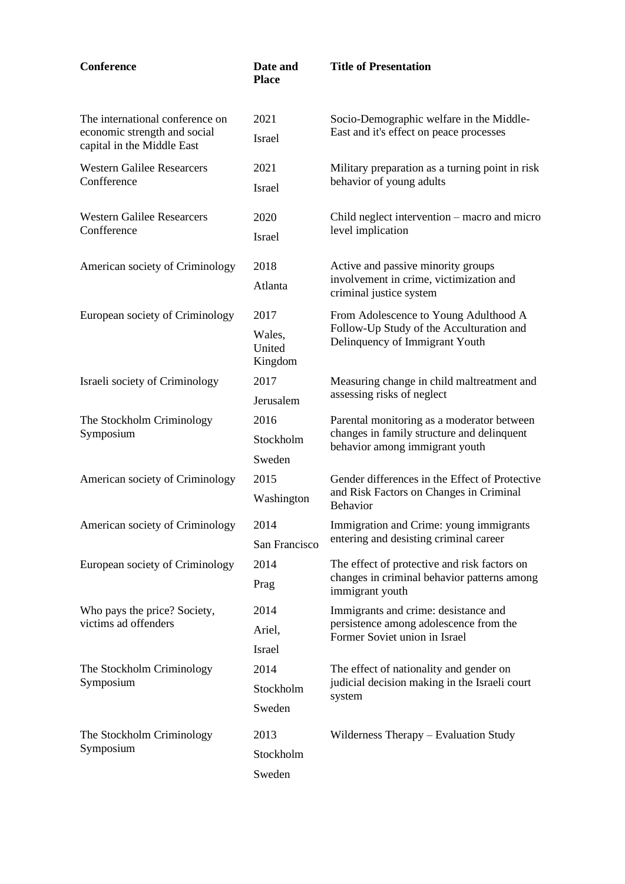| Conference                                                 | Date and<br><b>Place</b>    | <b>Title of Presentation</b>                                                                |
|------------------------------------------------------------|-----------------------------|---------------------------------------------------------------------------------------------|
| The international conference on                            | 2021                        | Socio-Demographic welfare in the Middle-                                                    |
| economic strength and social<br>capital in the Middle East | Israel                      | East and it's effect on peace processes                                                     |
| <b>Western Galilee Researcers</b>                          | 2021                        | Military preparation as a turning point in risk                                             |
| Confference                                                | <b>Israel</b>               | behavior of young adults                                                                    |
| <b>Western Galilee Researcers</b>                          | 2020                        | Child neglect intervention – macro and micro                                                |
| Confference                                                | <b>Israel</b>               | level implication                                                                           |
| American society of Criminology                            | 2018                        | Active and passive minority groups<br>involvement in crime, victimization and               |
|                                                            | Atlanta                     | criminal justice system                                                                     |
| European society of Criminology                            | 2017                        | From Adolescence to Young Adulthood A                                                       |
|                                                            | Wales,<br>United<br>Kingdom | Follow-Up Study of the Acculturation and<br>Delinquency of Immigrant Youth                  |
| Israeli society of Criminology                             | 2017                        | Measuring change in child maltreatment and                                                  |
| Jerusalem                                                  | assessing risks of neglect  |                                                                                             |
| The Stockholm Criminology                                  | 2016                        | Parental monitoring as a moderator between<br>changes in family structure and delinquent    |
| Symposium                                                  | Stockholm                   | behavior among immigrant youth                                                              |
|                                                            | Sweden                      |                                                                                             |
| American society of Criminology                            | 2015                        | Gender differences in the Effect of Protective<br>and Risk Factors on Changes in Criminal   |
|                                                            | Washington                  | <b>Behavior</b>                                                                             |
| American society of Criminology                            | 2014                        | Immigration and Crime: young immigrants                                                     |
|                                                            | San Francisco               | entering and desisting criminal career                                                      |
| European society of Criminology                            | 2014                        | The effect of protective and risk factors on<br>changes in criminal behavior patterns among |
|                                                            | Prag                        | immigrant youth                                                                             |
| Who pays the price? Society,                               | 2014                        | Immigrants and crime: desistance and                                                        |
| victims ad offenders                                       | Ariel,                      | persistence among adolescence from the<br>Former Soviet union in Israel                     |
|                                                            | <b>Israel</b>               |                                                                                             |
| The Stockholm Criminology<br>Symposium                     | 2014                        | The effect of nationality and gender on<br>judicial decision making in the Israeli court    |
|                                                            | Stockholm                   | system                                                                                      |
|                                                            | Sweden                      |                                                                                             |
| The Stockholm Criminology                                  | 2013                        | Wilderness Therapy – Evaluation Study                                                       |
| Symposium                                                  | Stockholm                   |                                                                                             |
|                                                            | Sweden                      |                                                                                             |